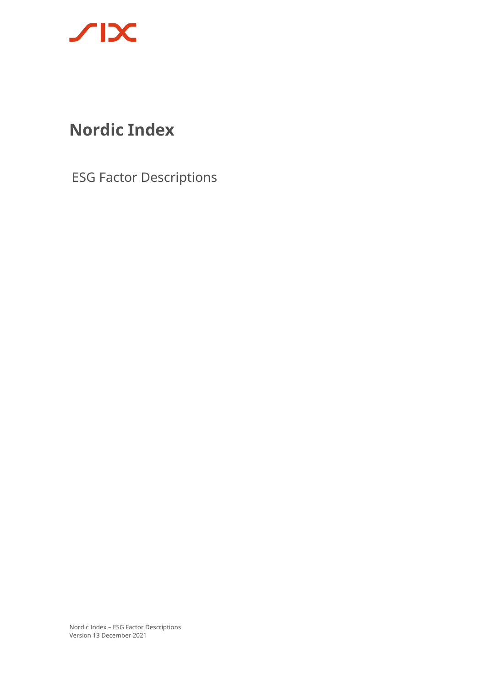

# **Nordic Index**

ESG Factor Descriptions

Nordic Index – ESG Factor Descriptions Version 13 December 2021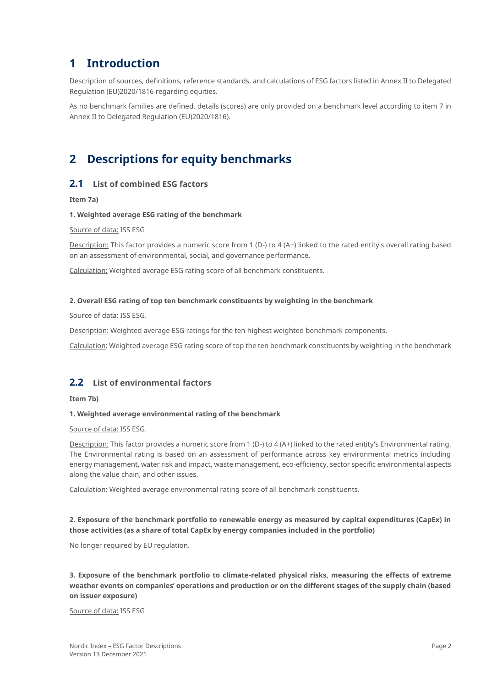# **1 Introduction**

Description of sources, definitions, reference standards, and calculations of ESG factors listed in Annex II to Delegated Regulation (EU)2020/1816 regarding equities.

As no benchmark families are defined, details (scores) are only provided on a benchmark level according to item 7 in Annex II to Delegated Regulation (EU)2020/1816).

# **2 Descriptions for equity benchmarks**

# **2.1 List of combined ESG factors**

**Item 7a)**

#### **1. Weighted average ESG rating of the benchmark**

Source of data: ISS ESG

Description: This factor provides a numeric score from 1 (D-) to 4 (A+) linked to the rated entity's overall rating based on an assessment of environmental, social, and governance performance.

Calculation: Weighted average ESG rating score of all benchmark constituents.

#### **2. Overall ESG rating of top ten benchmark constituents by weighting in the benchmark**

Source of data: ISS ESG.

Description: Weighted average ESG ratings for the ten highest weighted benchmark components.

Calculation: Weighted average ESG rating score of top the ten benchmark constituents by weighting in the benchmark

# **2.2 List of environmental factors**

**Item 7b)**

#### **1. Weighted average environmental rating of the benchmark**

Source of data: ISS ESG.

Description: This factor provides a numeric score from 1 (D-) to 4 (A+) linked to the rated entity's Environmental rating. The Environmental rating is based on an assessment of performance across key environmental metrics including energy management, water risk and impact, waste management, eco-efficiency, sector specific environmental aspects along the value chain, and other issues.

Calculation: Weighted average environmental rating score of all benchmark constituents.

## **2. Exposure of the benchmark portfolio to renewable energy as measured by capital expenditures (CapEx) in those activities (as a share of total CapEx by energy companies included in the portfolio)**

No longer required by EU regulation.

**3. Exposure of the benchmark portfolio to climate-related physical risks, measuring the effects of extreme weather events on companies' operations and production or on the different stages of the supply chain (based on issuer exposure)**

Source of data: ISS ESG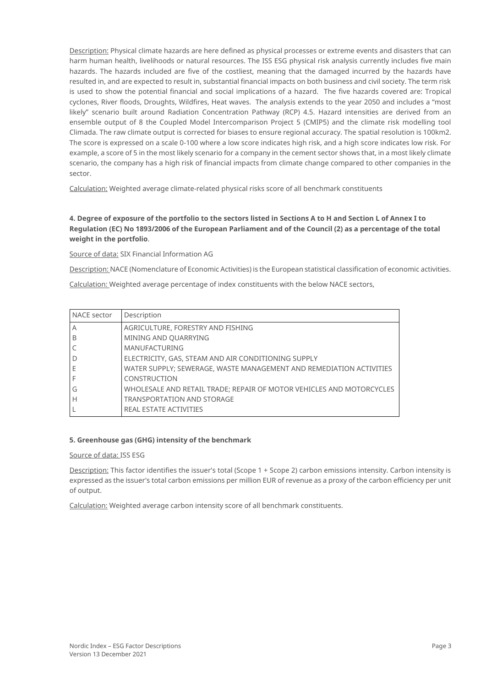Description: Physical climate hazards are here defined as physical processes or extreme events and disasters that can harm human health, livelihoods or natural resources. The ISS ESG physical risk analysis currently includes five main hazards. The hazards included are five of the costliest, meaning that the damaged incurred by the hazards have resulted in, and are expected to result in, substantial financial impacts on both business and civil society. The term risk is used to show the potential financial and social implications of a hazard. The five hazards covered are: Tropical cyclones, River floods, Droughts, Wildfires, Heat waves. The analysis extends to the year 2050 and includes a "most likely" scenario built around Radiation Concentration Pathway (RCP) 4.5. Hazard intensities are derived from an ensemble output of 8 the Coupled Model Intercomparison Project 5 (CMIP5) and the climate risk modelling tool Climada. The raw climate output is corrected for biases to ensure regional accuracy. The spatial resolution is 100km2. The score is expressed on a scale 0-100 where a low score indicates high risk, and a high score indicates low risk. For example, a score of 5 in the most likely scenario for a company in the cement sector shows that, in a most likely climate scenario, the company has a high risk of financial impacts from climate change compared to other companies in the sector.

Calculation: Weighted average climate-related physical risks score of all benchmark constituents

# **4. Degree of exposure of the portfolio to the sectors listed in Sections A to H and Section L of Annex I to Regulation (EC) No 1893/2006 of the European Parliament and of the Council (2) as a percentage of the total weight in the portfolio**.

Source of data: SIX Financial Information AG

Description: NACE (Nomenclature of Economic Activities) is the European statistical classification of economic activities.

Calculation: Weighted average percentage of index constituents with the below NACE sectors,

| NACE sector | Description                                                          |
|-------------|----------------------------------------------------------------------|
| Α           | AGRICULTURE, FORESTRY AND FISHING                                    |
| B           | MINING AND QUARRYING                                                 |
|             | <b>MANUFACTURING</b>                                                 |
| D           | ELECTRICITY, GAS, STEAM AND AIR CONDITIONING SUPPLY                  |
| Е           | WATER SUPPLY; SEWERAGE, WASTE MANAGEMENT AND REMEDIATION ACTIVITIES  |
|             | CONSTRUCTION                                                         |
| G           | WHOLESALE AND RETAIL TRADE; REPAIR OF MOTOR VEHICLES AND MOTORCYCLES |
| Н           | <b>TRANSPORTATION AND STORAGE</b>                                    |
|             | REAL ESTATE ACTIVITIES                                               |

## **5. Greenhouse gas (GHG) intensity of the benchmark**

#### Source of data: ISS ESG

Description: This factor identifies the issuer's total (Scope 1 + Scope 2) carbon emissions intensity. Carbon intensity is expressed as the issuer's total carbon emissions per million EUR of revenue as a proxy of the carbon efficiency per unit of output.

Calculation: Weighted average carbon intensity score of all benchmark constituents.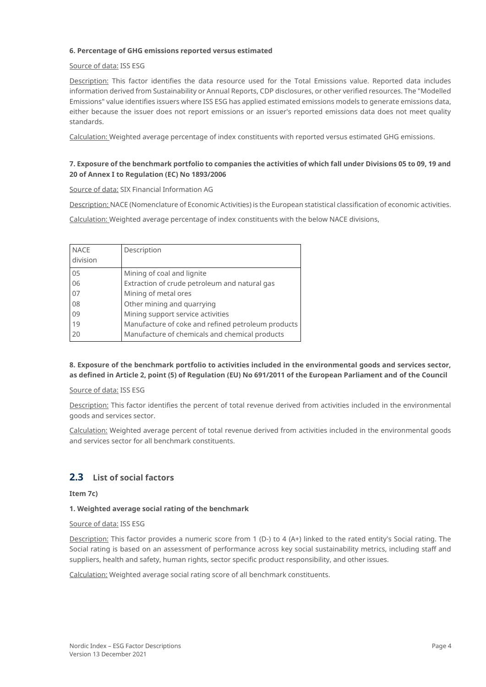#### **6. Percentage of GHG emissions reported versus estimated**

#### Source of data: ISS ESG

Description: This factor identifies the data resource used for the Total Emissions value. Reported data includes information derived from Sustainability or Annual Reports, CDP disclosures, or other verified resources. The "Modelled Emissions" value identifies issuers where ISS ESG has applied estimated emissions models to generate emissions data, either because the issuer does not report emissions or an issuer's reported emissions data does not meet quality standards.

Calculation: Weighted average percentage of index constituents with reported versus estimated GHG emissions.

## **7. Exposure of the benchmark portfolio to companies the activities of which fall under Divisions 05 to 09, 19 and 20 of Annex I to Regulation (EC) No 1893/2006**

Source of data: SIX Financial Information AG

Description: NACE (Nomenclature of Economic Activities) is the European statistical classification of economic activities.

Calculation: Weighted average percentage of index constituents with the below NACE divisions,

| <b>NACE</b><br>division | Description                                        |
|-------------------------|----------------------------------------------------|
| 05                      | Mining of coal and lignite                         |
| 06                      | Extraction of crude petroleum and natural gas      |
| 07                      | Mining of metal ores                               |
| 08                      | Other mining and quarrying                         |
| 09                      | Mining support service activities                  |
| 19                      | Manufacture of coke and refined petroleum products |
| 20                      | Manufacture of chemicals and chemical products     |

#### **8. Exposure of the benchmark portfolio to activities included in the environmental goods and services sector, as defined in Article 2, point (5) of Regulation (EU) No 691/2011 of the European Parliament and of the Council**

#### Source of data: ISS ESG

Description: This factor identifies the percent of total revenue derived from activities included in the environmental goods and services sector.

Calculation: Weighted average percent of total revenue derived from activities included in the environmental goods and services sector for all benchmark constituents.

# **2.3 List of social factors**

**Item 7c)**

#### **1. Weighted average social rating of the benchmark**

#### Source of data: ISS ESG

Description: This factor provides a numeric score from 1 (D-) to 4 (A+) linked to the rated entity's Social rating. The Social rating is based on an assessment of performance across key social sustainability metrics, including staff and suppliers, health and safety, human rights, sector specific product responsibility, and other issues.

Calculation: Weighted average social rating score of all benchmark constituents.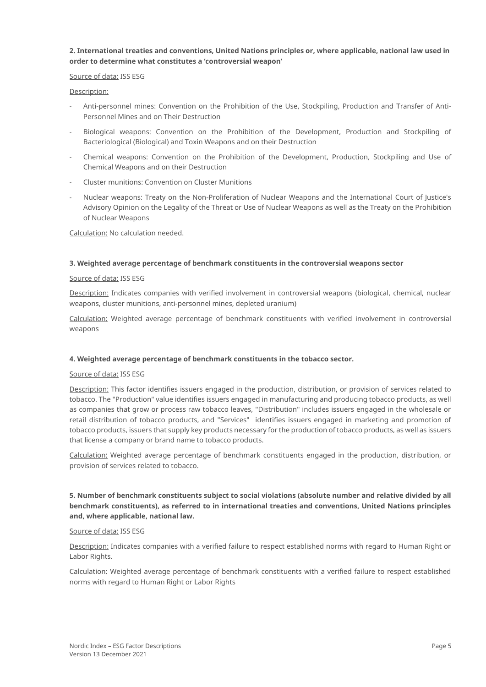#### **2. International treaties and conventions, United Nations principles or, where applicable, national law used in order to determine what constitutes a 'controversial weapon'**

#### Source of data: ISS ESG

#### Description:

- Anti-personnel mines: Convention on the Prohibition of the Use, Stockpiling, Production and Transfer of Anti-Personnel Mines and on Their Destruction
- Biological weapons: Convention on the Prohibition of the Development, Production and Stockpiling of Bacteriological (Biological) and Toxin Weapons and on their Destruction
- Chemical weapons: Convention on the Prohibition of the Development, Production, Stockpiling and Use of Chemical Weapons and on their Destruction
- Cluster munitions: Convention on Cluster Munitions
- Nuclear weapons: Treaty on the Non-Proliferation of Nuclear Weapons and the International Court of Justice's Advisory Opinion on the Legality of the Threat or Use of Nuclear Weapons as well as the Treaty on the Prohibition of Nuclear Weapons

Calculation: No calculation needed.

#### **3. Weighted average percentage of benchmark constituents in the controversial weapons sector**

#### Source of data: ISS ESG

Description: Indicates companies with verified involvement in controversial weapons (biological, chemical, nuclear weapons, cluster munitions, anti-personnel mines, depleted uranium)

Calculation: Weighted average percentage of benchmark constituents with verified involvement in controversial weapons

#### **4. Weighted average percentage of benchmark constituents in the tobacco sector.**

#### Source of data: ISS ESG

Description: This factor identifies issuers engaged in the production, distribution, or provision of services related to tobacco. The "Production" value identifies issuers engaged in manufacturing and producing tobacco products, as well as companies that grow or process raw tobacco leaves, "Distribution" includes issuers engaged in the wholesale or retail distribution of tobacco products, and "Services" identifies issuers engaged in marketing and promotion of tobacco products, issuers that supply key products necessary for the production of tobacco products, as well as issuers that license a company or brand name to tobacco products.

Calculation: Weighted average percentage of benchmark constituents engaged in the production, distribution, or provision of services related to tobacco.

#### **5. Number of benchmark constituents subject to social violations (absolute number and relative divided by all benchmark constituents), as referred to in international treaties and conventions, United Nations principles and, where applicable, national law.**

#### Source of data: ISS ESG

Description: Indicates companies with a verified failure to respect established norms with regard to Human Right or Labor Rights.

Calculation: Weighted average percentage of benchmark constituents with a verified failure to respect established norms with regard to Human Right or Labor Rights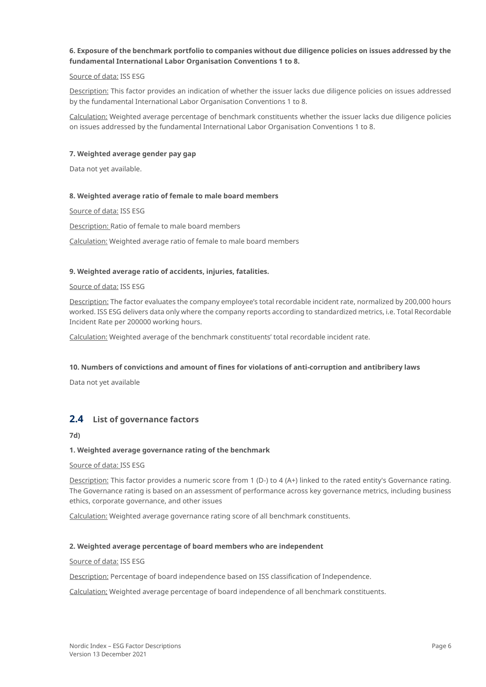#### **6. Exposure of the benchmark portfolio to companies without due diligence policies on issues addressed by the fundamental International Labor Organisation Conventions 1 to 8.**

#### Source of data: ISS ESG

Description: This factor provides an indication of whether the issuer lacks due diligence policies on issues addressed by the fundamental International Labor Organisation Conventions 1 to 8.

Calculation: Weighted average percentage of benchmark constituents whether the issuer lacks due diligence policies on issues addressed by the fundamental International Labor Organisation Conventions 1 to 8.

#### **7. Weighted average gender pay gap**

Data not yet available.

#### **8. Weighted average ratio of female to male board members**

Source of data: ISS ESG

Description: Ratio of female to male board members

Calculation: Weighted average ratio of female to male board members

#### **9. Weighted average ratio of accidents, injuries, fatalities.**

#### Source of data: ISS ESG

Description: The factor evaluates the company employee's total recordable incident rate, normalized by 200,000 hours worked. ISS ESG delivers data only where the company reports according to standardized metrics, i.e. Total Recordable Incident Rate per 200000 working hours.

Calculation: Weighted average of the benchmark constituents' total recordable incident rate.

#### **10. Numbers of convictions and amount of fines for violations of anti-corruption and antibribery laws**

Data not yet available

# **2.4 List of governance factors**

**7d)**

#### **1. Weighted average governance rating of the benchmark**

Source of data: ISS ESG

Description: This factor provides a numeric score from 1 (D-) to 4 (A+) linked to the rated entity's Governance rating. The Governance rating is based on an assessment of performance across key governance metrics, including business ethics, corporate governance, and other issues

Calculation: Weighted average governance rating score of all benchmark constituents.

#### **2. Weighted average percentage of board members who are independent**

#### Source of data: ISS ESG

Description: Percentage of board independence based on ISS classification of Independence.

Calculation; Weighted average percentage of board independence of all benchmark constituents.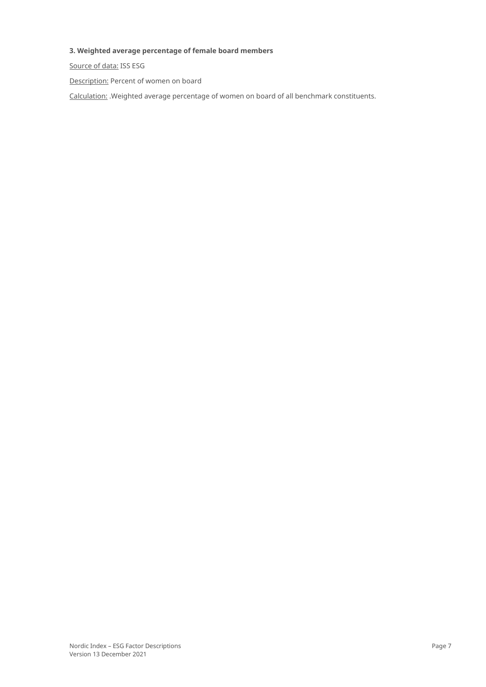### **3. Weighted average percentage of female board members**

Source of data: ISS ESG

Description: Percent of women on board

Calculation: .Weighted average percentage of women on board of all benchmark constituents.